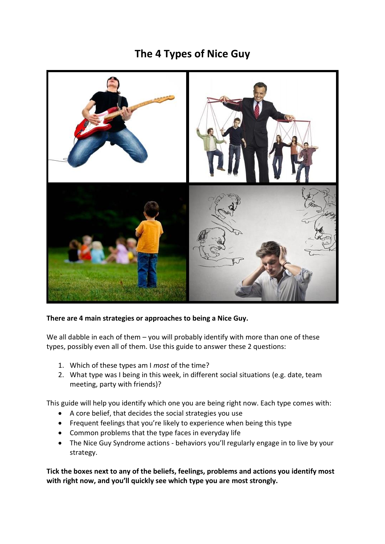# **The 4 Types of Nice Guy**



## **There are 4 main strategies or approaches to being a Nice Guy.**

We all dabble in each of them – you will probably identify with more than one of these types, possibly even all of them. Use this guide to answer these 2 questions:

- 1. Which of these types am I *most* of the time?
- 2. What type was I being in this week, in different social situations (e.g. date, team meeting, party with friends)?

This guide will help you identify which one you are being right now. Each type comes with:

- A core belief, that decides the social strategies you use
- Frequent feelings that you're likely to experience when being this type
- Common problems that the type faces in everyday life
- The Nice Guy Syndrome actions behaviors you'll regularly engage in to live by your strategy.

**Tick the boxes next to any of the beliefs, feelings, problems and actions you identify most with right now, and you'll quickly see which type you are most strongly.**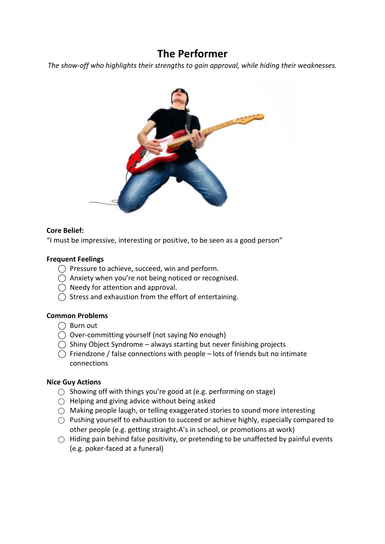## **The Performer**

*The show-off who highlights their strengths to gain approval, while hiding their weaknesses.*



## **Core Belief:**

"I must be impressive, interesting or positive, to be seen as a good person"

## **Frequent Feelings**

- $\bigcap$  Pressure to achieve, succeed, win and perform.
- $\bigcap$  Anxiety when you're not being noticed or recognised.
- $\bigcap$  Needy for attention and approval.
- $\bigcap$  Stress and exhaustion from the effort of entertaining.

#### **Common Problems**

- $\bigcap$  Burn out
- $\bigcirc$  Over-committing yourself (not saying No enough)
- $\bigcirc$  Shiny Object Syndrome always starting but never finishing projects
- $\bigcap$  Friendzone / false connections with people lots of friends but no intimate connections

- $\bigcirc$  Showing off with things you're good at (e.g. performing on stage)
- $\bigcirc$  Helping and giving advice without being asked
- $\bigcirc$  Making people laugh, or telling exaggerated stories to sound more interesting
- $\bigcirc$  Pushing yourself to exhaustion to succeed or achieve highly, especially compared to other people (e.g. getting straight-A's in school, or promotions at work)
- $\bigcirc$  Hiding pain behind false positivity, or pretending to be unaffected by painful events (e.g. poker-faced at a funeral)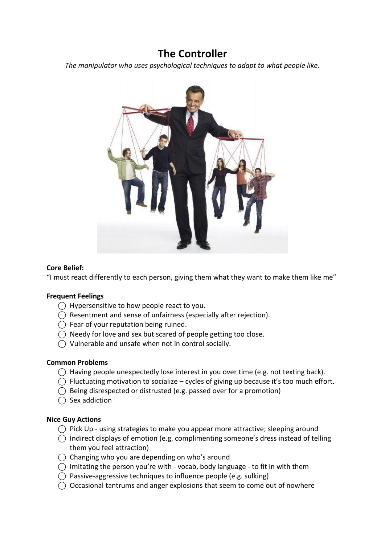## **The Controller**

*The manipulator who uses psychological techniques to adapt to what people like.*



## **Core Belief:**

"I must react differently to each person, giving them what they want to make them like me"

#### **Frequent Feelings**

- $\bigcirc$  Hypersensitive to how people react to you.
- $\bigcirc$  Resentment and sense of unfairness (especially after rejection).
- $\bigcap$  Fear of your reputation being ruined.
- $\bigcirc$  Needy for love and sex but scared of people getting too close.
- ⃝ Vulnerable and unsafe when not in control socially.

#### **Common Problems**

- $\bigcirc$  Having people unexpectedly lose interest in you over time (e.g. not texting back).
- $\bigcap$  Fluctuating motivation to socialize cycles of giving up because it's too much effort.
- $\bigcirc$  Being disrespected or distrusted (e.g. passed over for a promotion)
- $\bigcap$  Sex addiction

- $\bigcap$  Pick Up using strategies to make you appear more attractive; sleeping around
- $\bigcap$  Indirect displays of emotion (e.g. complimenting someone's dress instead of telling them you feel attraction)
- $\bigcirc$  Changing who you are depending on who's around
- $\bigcirc$  Imitating the person you're with vocab, body language to fit in with them
- $\bigcirc$  Passive-aggressive techniques to influence people (e.g. sulking)
- $\bigcirc$  Occasional tantrums and anger explosions that seem to come out of nowhere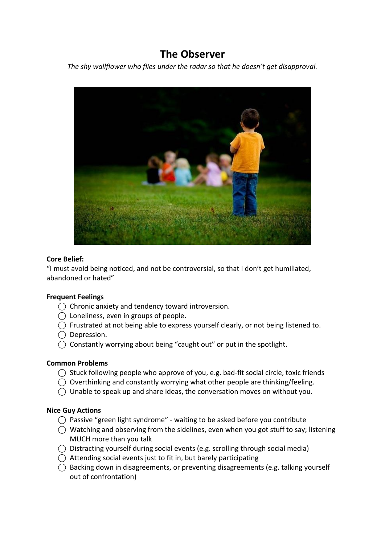# **The Observer**

*The shy wallflower who flies under the radar so that he doesn't get disapproval.*



#### **Core Belief:**

"I must avoid being noticed, and not be controversial, so that I don't get humiliated, abandoned or hated"

#### **Frequent Feelings**

- ⃝ Chronic anxiety and tendency toward introversion.
- $\bigcirc$  Loneliness, even in groups of people.
- $\bigcirc$  Frustrated at not being able to express yourself clearly, or not being listened to.
- $\bigcirc$  Depression.
- $\bigcirc$  Constantly worrying about being "caught out" or put in the spotlight.

#### **Common Problems**

- $\bigcirc$  Stuck following people who approve of you, e.g. bad-fit social circle, toxic friends
- $\bigcirc$  Overthinking and constantly worrying what other people are thinking/feeling.
- $\bigcirc$  Unable to speak up and share ideas, the conversation moves on without you.

- $\bigcirc$  Passive "green light syndrome" waiting to be asked before you contribute
- $\bigcirc$  Watching and observing from the sidelines, even when you got stuff to say; listening MUCH more than you talk
- $\bigcirc$  Distracting yourself during social events (e.g. scrolling through social media)
- $\bigcap$  Attending social events just to fit in, but barely participating
- $\bigcirc$  Backing down in disagreements, or preventing disagreements (e.g. talking yourself out of confrontation)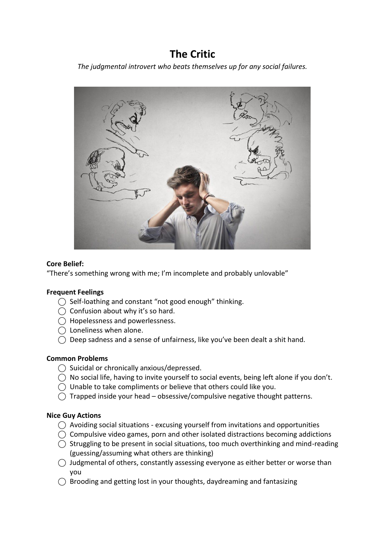# **The Critic**

*The judgmental introvert who beats themselves up for any social failures.*



## **Core Belief:**

"There's something wrong with me; I'm incomplete and probably unlovable"

## **Frequent Feelings**

- ◯ Self-loathing and constant "not good enough" thinking.
- $\bigcirc$  Confusion about why it's so hard.
- ⃝ Hopelessness and powerlessness.
- $\bigcap$  Loneliness when alone.
- $\bigcirc$  Deep sadness and a sense of unfairness, like you've been dealt a shit hand.

#### **Common Problems**

- ◯ Suicidal or chronically anxious/depressed.
- $\bigcirc$  No social life, having to invite yourself to social events, being left alone if you don't.
- ⃝ Unable to take compliments or believe that others could like you.
- $\bigcap$  Trapped inside your head obsessive/compulsive negative thought patterns.

- $\bigcirc$  Avoiding social situations excusing yourself from invitations and opportunities
- $\bigcirc$  Compulsive video games, porn and other isolated distractions becoming addictions
- $\bigcirc$  Struggling to be present in social situations, too much overthinking and mind-reading (guessing/assuming what others are thinking)
- $\bigcirc$  Judgmental of others, constantly assessing everyone as either better or worse than you
- $\bigcap$  Brooding and getting lost in your thoughts, daydreaming and fantasizing